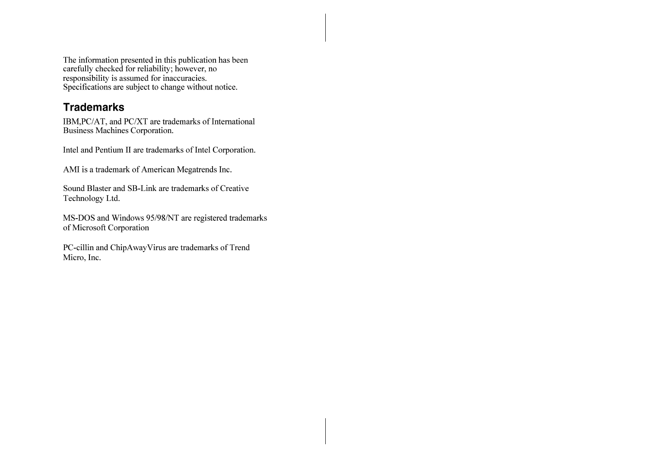The information presented in this publication has been<br>carefully checked for reliability; however, no<br>responsibility is assumed for inaccuracies.<br>Specifications are subject to change without notice.

## **Trademarks**

IBM, PC/AT, and PC/XT are trademarks of International<br>Business Machines Corporation.

Intel and Pentium II are trademarks of Intel Corporation.

AMI is a trademark of American Megatrends Inc.

Sound Blaster and SB-Link are trademarks of Creative Technology Ltd.

MS-DOS and Windows 95/98/NT are registered trademarks of Microsoft Corporation

PC-cillin and ChipAwayVirus are trademarks of Trend Micro, Inc.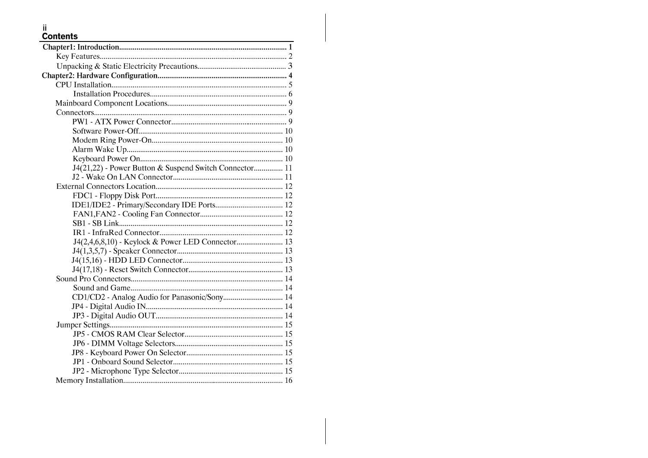# ii<br>Contents

| ${\bf Chapter 1: Introduction.}.\label{prop:non-1}$    |
|--------------------------------------------------------|
|                                                        |
|                                                        |
|                                                        |
|                                                        |
|                                                        |
|                                                        |
|                                                        |
|                                                        |
|                                                        |
|                                                        |
|                                                        |
|                                                        |
| J4(21,22) - Power Button & Suspend Switch Connector 11 |
|                                                        |
|                                                        |
|                                                        |
|                                                        |
|                                                        |
|                                                        |
|                                                        |
| J4(2,4,6,8,10) - Keylock & Power LED Connector 13      |
|                                                        |
|                                                        |
|                                                        |
|                                                        |
|                                                        |
| CD1/CD2 - Analog Audio for Panasonic/Sony 14           |
|                                                        |
|                                                        |
|                                                        |
|                                                        |
|                                                        |
|                                                        |
|                                                        |
|                                                        |
|                                                        |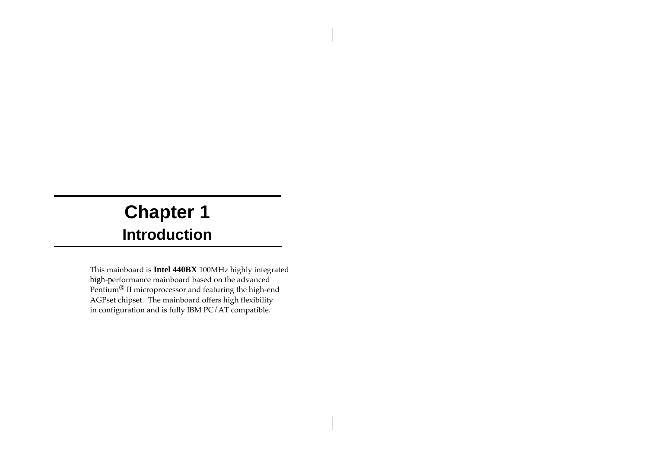# **Chapter 1 Introduction**

This mainboard is **Intel 440BX** 100MHz highly integrated high-performance mainboard based on the advanced Pentium® II microprocessor and featuring the high-end AGPset chipset. The mainboard offers high flexibility in configuration and is fully IBM PC/AT compatible.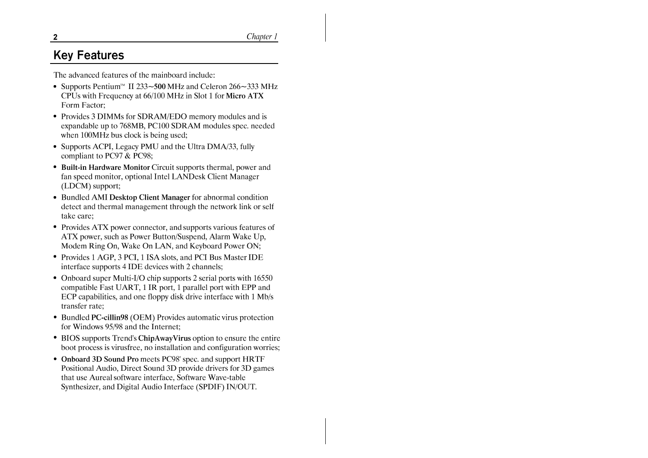Chapter 1

# **Kev Features**

The advanced features of the mainboard include:

- Supports Pentium<sup>TM</sup> II 233~500 MHz and Celeron 266~333 MHz CPUs with Frequency at 66/100 MHz in Slot 1 for Micro ATX Form Factor:
- Provides 3 DIMMs for SDRAM/EDO memory modules and is expandable up to 768MB, PC100 SDRAM modules spec. needed when 100MHz bus clock is being used;
- Supports ACPI, Legacy PMU and the Ultra DMA/33, fully compliant to PC97 & PC98;
- Built-in Hardware Monitor Circuit supports thermal, power and fan speed monitor, optional Intel LANDesk Client Manager (LDCM) support;
- Bundled AMI Desktop Client Manager for abnormal condition detect and thermal management through the network link or self take care:
- Provides ATX power connector, and supports various features of ATX power, such as Power Button/Suspend, Alarm Wake Up, Modem Ring On, Wake On LAN, and Keyboard Power ON;
- Provides 1 AGP, 3 PCI, 1 ISA slots, and PCI Bus Master IDE interface supports 4 IDE devices with 2 channels;
- Onboard super Multi-I/O chip supports 2 serial ports with 16550 compatible Fast UART, 1 IR port, 1 parallel port with EPP and ECP capabilities, and one floppy disk drive interface with 1 Mb/s transfer rate:
- Bundled PC-cillin98 (OEM) Provides automatic virus protection for Windows 95/98 and the Internet:
- BIOS supports Trend's ChipAwayVirus option to ensure the entire boot process is virusfree, no installation and configuration worries;
- Onboard 3D Sound Pro meets PC98' spec. and support HRTF Positional Audio, Direct Sound 3D provide drivers for 3D games that use Aureal software interface, Software Wave-table Synthesizer, and Digital Audio Interface (SPDIF) IN/OUT.

 $\mathbf{2}$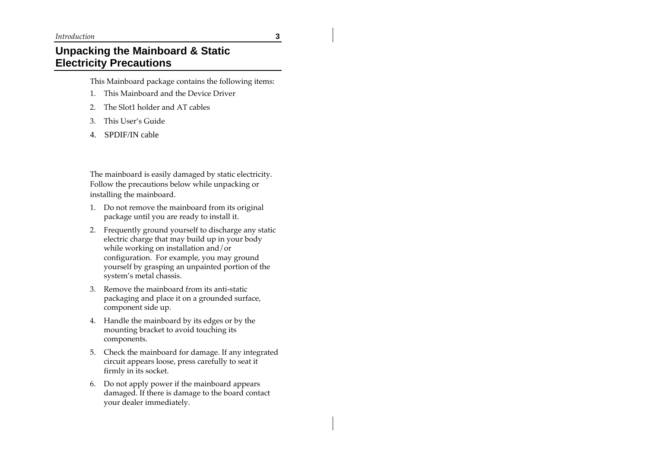#### *Introduction* **3**

## **Unpacking the Mainboard & Static Electricity Precautions**

This Mainboard package contains the following items:

- 1. This Mainboard and the Device Driver
- 2. The Slot1 holder and AT cables
- 3. This User's Guide
- 4. SPDIF/IN cable

The mainboard is easily damaged by static electricity. Follow the precautions below while unpacking or installing the mainboard.

- 1. Do not remove the mainboard from its original package until you are ready to install it.
- 2. Frequently ground yourself to discharge any static electric charge that may build up in your body while working on installation and/or configuration. For example, you may ground yourself by grasping an unpainted portion of the system's metal chassis.
- 3. Remove the mainboard from its anti-static packaging and place it on a grounded surface, component side up.
- 4. Handle the mainboard by its edges or by the mounting bracket to avoid touching its components.
- 5. Check the mainboard for damage. If any integrated circuit appears loose, press carefully to seat it firmly in its socket.
- 6. Do not apply power if the mainboard appears damaged. If there is damage to the board contact your dealer immediately.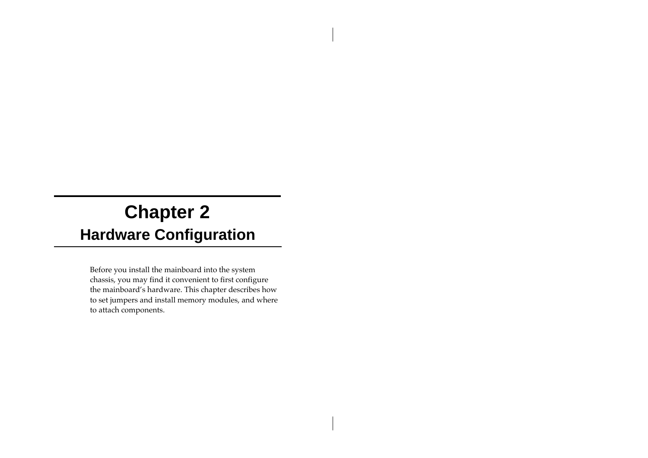# **Chapter 2 Hardware Configuration**

Before you install the mainboard into the system chassis, you may find it convenient to first configure the mainboard's hardware. This chapter describes how to set jumpers and install memory modules, and where to attach components.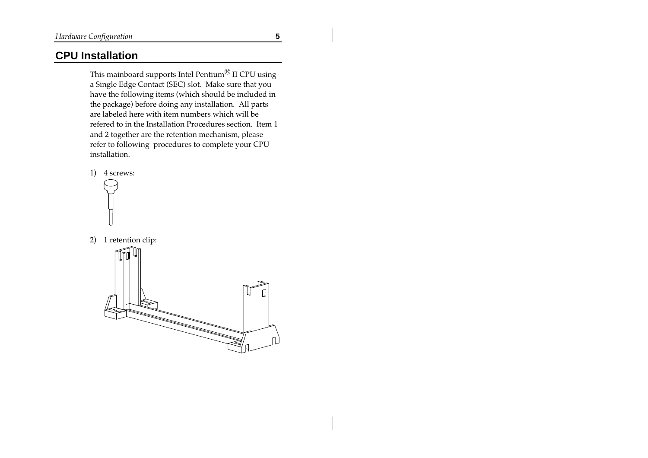## **CPU Installation**

This mainboard supports Intel Pentium<br/>® $\rm II$  CPU using a Single Edge Contact (SEC) slot. Make sure that you have the following items (which should be included in the package) before doing any installation. All parts are labeled here with item numbers which will be refered to in the Installation Procedures section. Item 1 and 2 together are the retention mechanism, please refer to following procedures to complete your CPU installation.





2) 1 retention clip:

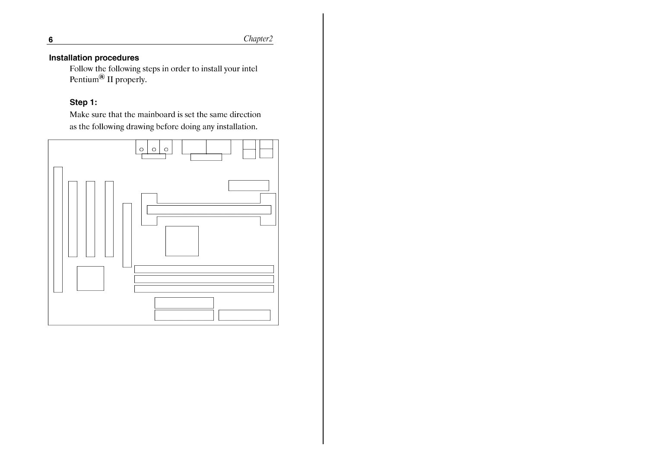Chapter2

### **Installation procedures**

Follow the following steps in order to install your intel<br>Pentium<sup>®</sup> II properly.

### Step 1:

Make sure that the mainboard is set the same direction as the following drawing before doing any installation.



 $6\phantom{1}$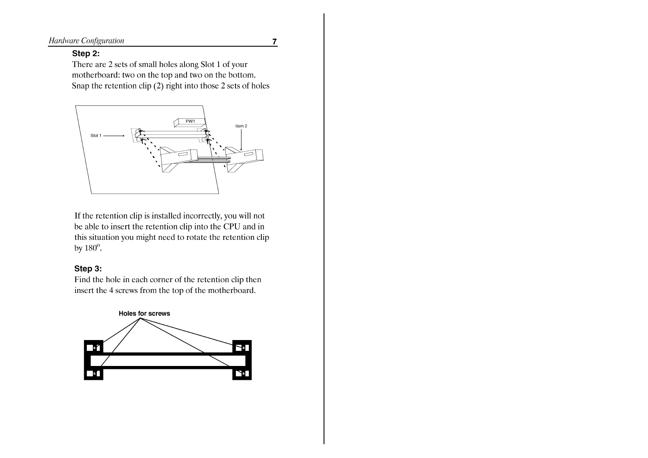Hardware Configuration

#### $\overline{7}$

#### Step 2:

There are 2 sets of small holes along Slot 1 of your motherboard: two on the top and two on the bottom. Snap the retention clip  $(2)$  right into those 2 sets of holes



If the retention clip is installed incorrectly, you will not be able to insert the retention clip into the CPU and in this situation you might need to rotate the retention clip by  $180^\circ$ .

#### Step 3:

Find the hole in each corner of the retention clip then insert the 4 screws from the top of the motherboard.

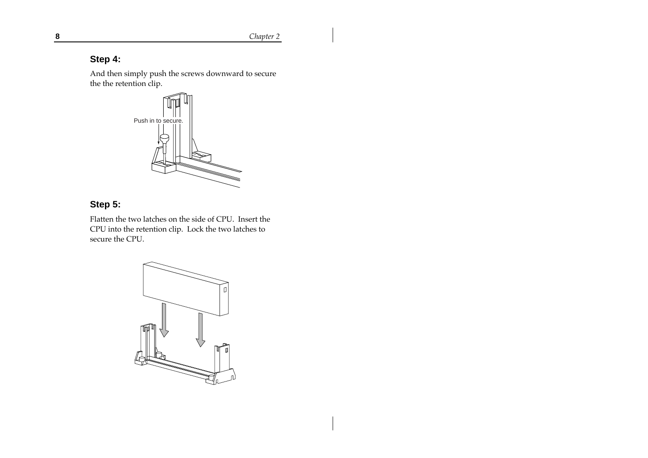**8** *Chapter 2*

## **Step 4:**

And then simply push the screws downward to secure the the retention clip.



## **Step 5:**

Flatten the two latches on the side of CPU. Insert the CPU into the retention clip. Lock the two latches to secure the CPU.

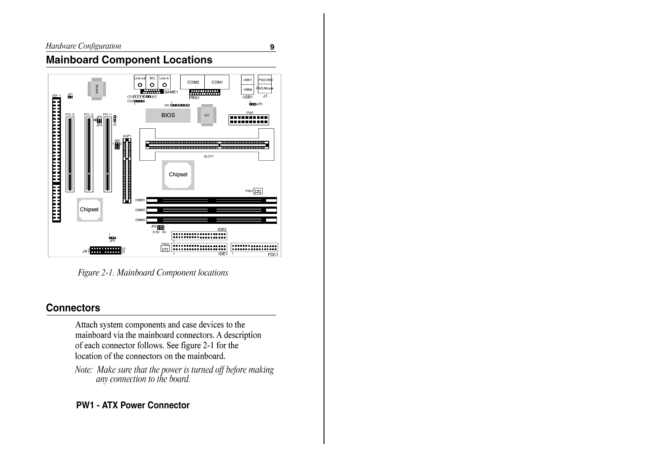$\overline{9}$ 

## **Mainboard Component Locations**



Figure 2-1. Mainboard Component locations

## **Connectors**

Attach system components and case devices to the mainboard via the mainboard connectors. A description of each connector follows. See figure 2-1 for the location of the connectors on the mainboard.

Note: Make sure that the power is turned off before making<br>any connection to the board.

## **PW1 - ATX Power Connector**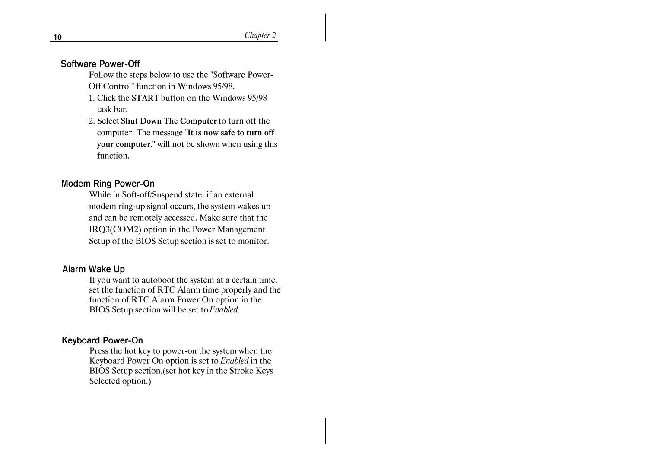Chapter 2

#### **Software Power-Off**

- Follow the steps below to use the "Software Power-Off Control" function in Windows 95/98.
- 1. Click the START button on the Windows 95/98 task bar.
- 2. Select Shut Down The Computer to turn off the computer. The message "It is now safe to turn off your computer." will not be shown when using this function.

#### **Modem Ring Power-On**

While in Soft-off/Suspend state, if an external modem ring-up signal occurs, the system wakes up and can be remotely accessed. Make sure that the IRQ3(COM2) option in the Power Management Setup of the BIOS Setup section is set to monitor.

#### **Alarm Wake Up**

If you want to autoboot the system at a certain time, set the function of RTC Alarm time properly and the function of RTC Alarm Power On option in the BIOS Setup section will be set to Enabled.

#### **Keyboard Power-On**

Press the hot key to power-on the system when the Keyboard Power On option is set to Enabled in the BIOS Setup section.(set hot key in the Stroke Keys Selected option.)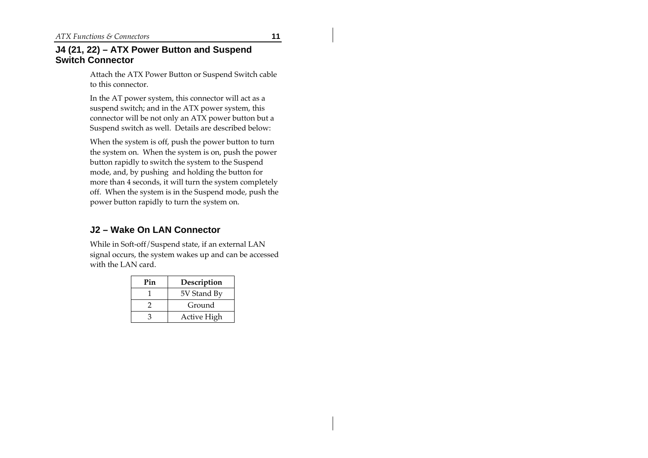#### **J4 (21, 22) – ATX Power Button and Suspend Switch Connector**

Attach the ATX Power Button or Suspend Switch cable to this connector.

In the AT power system, this connector will act as a suspend switch; and in the ATX power system, this connector will be not only an ATX power button but a Suspend switch as well. Details are described below:

When the system is off, push the power button to turn the system on. When the system is on, push the power button rapidly to switch the system to the Suspend mode, and, by pushing and holding the button for more than 4 seconds, it will turn the system completely off. When the system is in the Suspend mode, push the power button rapidly to turn the system on.

#### **J2 – Wake On LAN Connector**

While in Soft-off/Suspend state, if an external LAN signal occurs, the system wakes up and can be accessed with the LAN card.

| Pin | Description |
|-----|-------------|
|     | 5V Stand By |
|     | Ground      |
|     | Active High |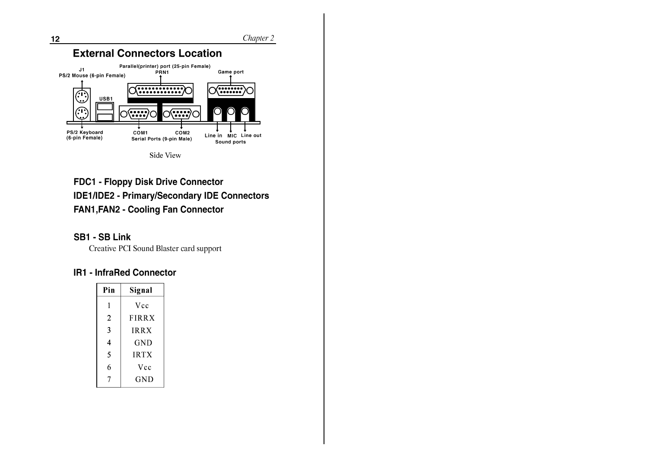

**FDC1 - Floppy Disk Drive Connector IDE1/IDE2 - Primary/Secondary IDE Connectors FAN1, FAN2 - Cooling Fan Connector** 

### **SB1 - SB Link**

Creative PCI Sound Blaster card support

#### **IR1 - InfraRed Connector**

| Pin | Signal       |  |
|-----|--------------|--|
| 1   | Vcc          |  |
| 2   | <b>FIRRX</b> |  |
| 3   | <b>IRRX</b>  |  |
| 4   | GND          |  |
| 5   | <b>IRTX</b>  |  |
| 6   | Vcc          |  |
|     | GND          |  |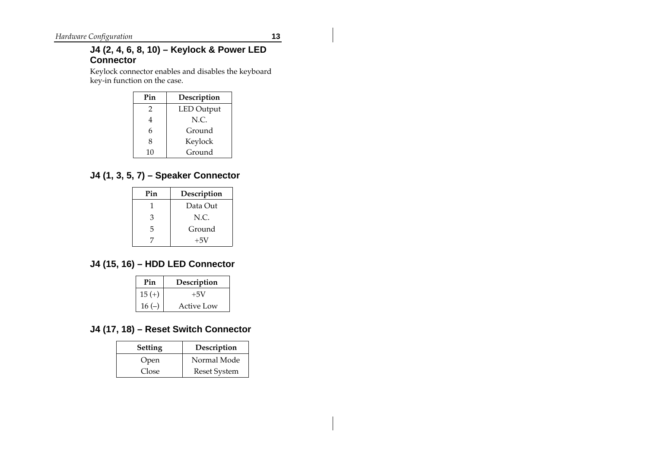#### **J4 (2, 4, 6, 8, 10) – Keylock & Power LED Connector**

Keylock connector enables and disables the keyboard key-in function on the case.

| Pin | Description       |
|-----|-------------------|
| 2   | <b>LED</b> Output |
| 4   | N.C.              |
| 6   | Ground            |
| 8   | Keylock           |
| 10  | Ground            |

## **J4 (1, 3, 5, 7) – Speaker Connector**

| Pin | Description |
|-----|-------------|
|     | Data Out    |
| 3   | N.C.        |
| 5   | Ground      |
|     | $+5V$       |

## **J4 (15, 16) – HDD LED Connector**

| Pin      | Description |
|----------|-------------|
| $15 (+)$ | $+5V$       |
| $16(-)$  | Active Low  |

### **J4 (17, 18) – Reset Switch Connector**

| <b>Setting</b> | Description         |
|----------------|---------------------|
| Open           | Normal Mode         |
| Close          | <b>Reset System</b> |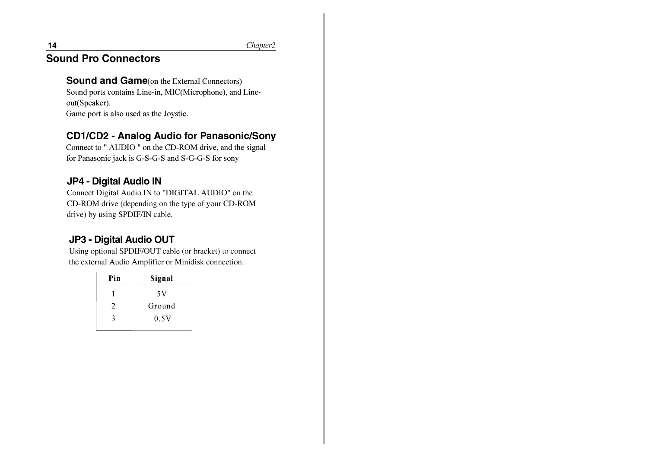Chapter2

# **Sound Pro Connectors**

## **Sound and Game**(on the External Connectors)

Sound ports contains Line-in, MIC(Microphone), and Lineout(Speaker).

Game port is also used as the Joystic.

# **CD1/CD2 - Analog Audio for Panasonic/Sony**

Connect to " AUDIO " on the CD-ROM drive, and the signal for Panasonic jack is G-S-G-S and S-G-G-S for sony

## JP4 - Digital Audio IN

Connect Digital Audio IN to "DIGITAL AUDIO" on the CD-ROM drive (depending on the type of your CD-ROM drive) by using SPDIF/IN cable.

# **JP3 - Digital Audio OUT**

Using optional SPDIF/OUT cable (or bracket) to connect the external Audio Amplifier or Minidisk connection.

| Pin | Signal |
|-----|--------|
|     | 5 V    |
| 2   | Ground |
| ર   | 0.5V   |
|     |        |

 $14$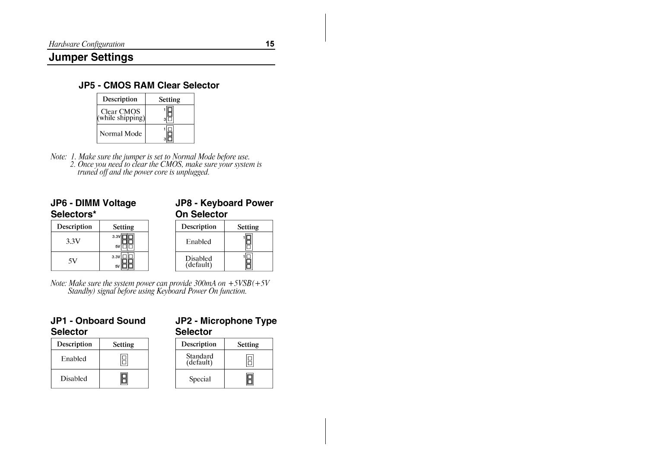## **Jumper Settings**

## **JP5 - CMOS RAM Clear Selector**

| Description                                    | Setting |
|------------------------------------------------|---------|
| <b>Clear CMOS</b><br>$(\text{while shipping})$ |         |
| Normal Mode                                    |         |

Note: 1. Make sure the jumper is set to Normal Mode before use.<br>2. Once you need to clear the CMOS, make sure your system is<br>truned off and the power core is unplugged.

| <b>JP6 - DIMM Voltage</b><br>Selectors* |                | <b>JP8 - Keyboard Power</b><br><b>On Selector</b> |                |
|-----------------------------------------|----------------|---------------------------------------------------|----------------|
| Description                             | <b>Setting</b> | Description                                       | <b>Setting</b> |
| 3.3V                                    | 3.3V<br>5V     | Enabled                                           |                |
| 5V                                      | 3.3V           | Disabled<br>(default)                             |                |

Note: Make sure the system power can provide  $300mA$  on  $+5VSB(+5V)$ <br>Standby) signal before using Keyboard Power On function.

#### JP1 - Onboard Sound **Selector**

| JP2 - Microphone Type |  |
|-----------------------|--|
| <b>Selector</b>       |  |

| Description     | Setting |
|-----------------|---------|
| Enabled         |         |
| <b>Disabled</b> |         |

| Description           | <b>Setting</b> |
|-----------------------|----------------|
| Standard<br>(default) |                |
| Special               |                |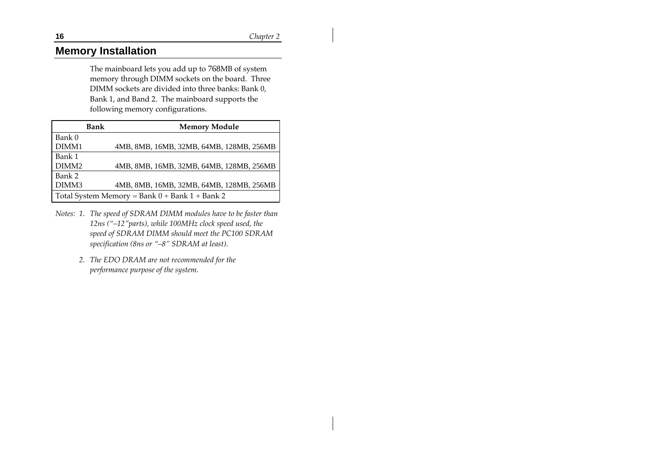## **Memory Installation**

The mainboard lets you add up to 768MB of system memory through DIMM sockets on the board. Three DIMM sockets are divided into three banks: Bank 0, Bank 1, and Band 2. The mainboard supports the following memory configurations.

|                   | <b>Bank</b> | <b>Memory Module</b>                               |
|-------------------|-------------|----------------------------------------------------|
| Bank 0            |             |                                                    |
| DIMM1             |             | 4MB, 8MB, 16MB, 32MB, 64MB, 128MB, 256MB           |
| Bank 1            |             |                                                    |
| DIMM <sub>2</sub> |             | 4MB, 8MB, 16MB, 32MB, 64MB, 128MB, 256MB           |
| Bank 2            |             |                                                    |
| DIMM3             |             | 4MB, 8MB, 16MB, 32MB, 64MB, 128MB, 256MB           |
|                   |             | Total System Memory = Bank $0 +$ Bank $1 +$ Bank 2 |

- *Notes: 1. The speed of SDRAM DIMM modules have to be faster than 12ns ("–12"parts), while 100MHz clock speed used, the speed of SDRAM DIMM should meet the PC100 SDRAM specification (8ns or "–8" SDRAM at least).*
	- *2. The EDO DRAM are not recommended for the performance purpose of the system.*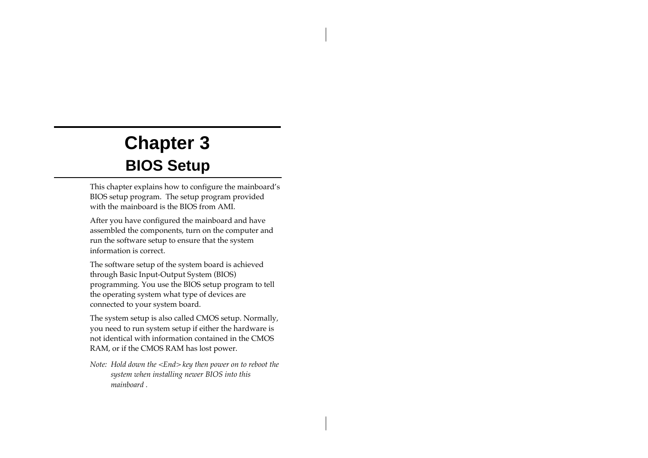# **Chapter 3 BIOS Setup**

This chapter explains how to configure the mainboard's BIOS setup program. The setup program provided with the mainboard is the BIOS from AMI.

After you have configured the mainboard and have assembled the components, turn on the computer and run the software setup to ensure that the system information is correct.

The software setup of the system board is achieved through Basic Input-Output System (BIOS) programming. You use the BIOS setup program to tell the operating system what type of devices are connected to your system board.

The system setup is also called CMOS setup. Normally, you need to run system setup if either the hardware is not identical with information contained in the CMOS RAM, or if the CMOS RAM has lost power.

*Note: Hold down the <End> key then power on to reboot the system when installing newer BIOS into this mainboard .*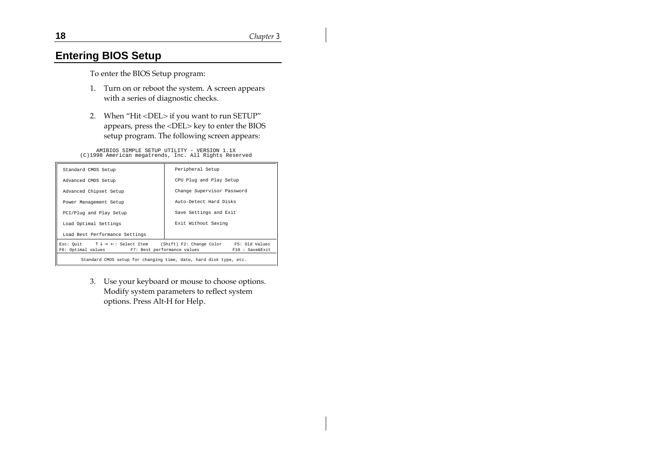## **Entering BIOS Setup**

To enter the BIOS Setup program:

- 1. Turn on or reboot the system. A screen appears with a series of diagnostic checks.
- 2. When "Hit <DEL> if you want to run SETUP" appears, press the <DEL> key to enter the BIOS setup program. The following screen appears:

AMIBIOS SIMPLE SETUP UTILITY - VERSION 1.1X (C)1998 American megatrends, Inc. All Rights Reserved

| Standard CMOS Setup                                                                                                                                                           | Peripheral Setup           |  |
|-------------------------------------------------------------------------------------------------------------------------------------------------------------------------------|----------------------------|--|
| Advanced CMOS Setup                                                                                                                                                           | CPU Plug and Play Setup    |  |
| Advanced Chipset Setup                                                                                                                                                        | Change Supervisor Password |  |
| Power Management Setup                                                                                                                                                        | Auto-Detect Hard Disks     |  |
| PCI/Plug and Play Setup                                                                                                                                                       | Save Settings and Exit     |  |
| Load Optimal Settings                                                                                                                                                         | Exit Without Saving        |  |
| Load Best Performance Settings                                                                                                                                                |                            |  |
| Esc: Quit $\uparrow \downarrow \rightarrow \leftarrow$ : Select Item (Shift) F2: Change Color F5: Old Values<br>F6: Optimal values F7: Best performance values F10: Save&Exit |                            |  |
| Standard CMOS setup for changing time, date, hard disk type, etc.                                                                                                             |                            |  |

3. Use your keyboard or mouse to choose options. Modify system parameters to reflect system options. Press Alt-H for Help.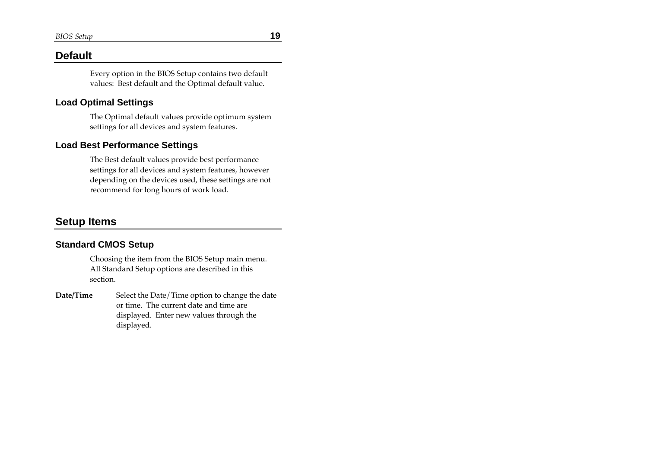### **Default**

Every option in the BIOS Setup contains two default values: Best default and the Optimal default value.

#### **Load Optimal Settings**

The Optimal default values provide optimum system settings for all devices and system features.

#### **Load Best Performance Settings**

The Best default values provide best performance settings for all devices and system features, however depending on the devices used, these settings are not recommend for long hours of work load.

## **Setup Items**

#### **Standard CMOS Setup**

Choosing the item from the BIOS Setup main menu. All Standard Setup options are described in this section.

**Date/Time** Select the Date/Time option to change the date or time. The current date and time are displayed. Enter new values through the displayed.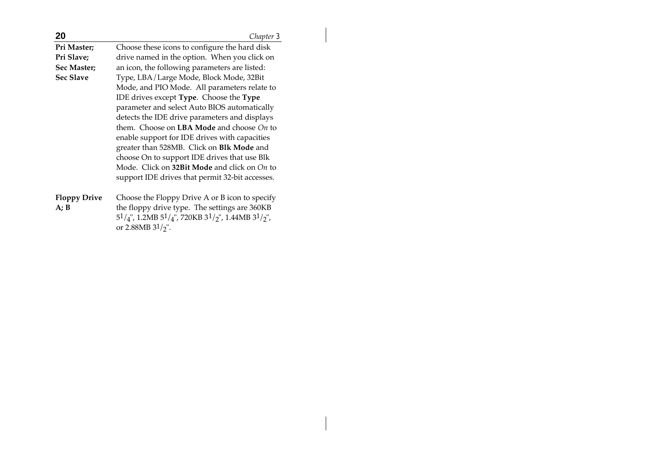| 20                  | Chapter 3                                                                            |
|---------------------|--------------------------------------------------------------------------------------|
| Pri Master;         | Choose these icons to configure the hard disk                                        |
| Pri Slave;          | drive named in the option. When you click on                                         |
| Sec Master;         | an icon, the following parameters are listed:                                        |
| <b>Sec Slave</b>    | Type, LBA/Large Mode, Block Mode, 32Bit                                              |
|                     | Mode, and PIO Mode. All parameters relate to                                         |
|                     | IDE drives except Type. Choose the Type                                              |
|                     | parameter and select Auto BIOS automatically                                         |
|                     | detects the IDE drive parameters and displays                                        |
|                     | them. Choose on <b>LBA Mode</b> and choose $On$ to                                   |
|                     | enable support for IDE drives with capacities                                        |
|                     | greater than 528MB. Click on <b>Blk Mode</b> and                                     |
|                     | choose On to support IDE drives that use Blk                                         |
|                     | Mode. Click on 32Bit Mode and click on On to                                         |
|                     | support IDE drives that permit 32-bit accesses.                                      |
| <b>Floppy Drive</b> | Choose the Floppy Drive A or B icon to specify                                       |
| A; B                | the floppy drive type. The settings are 360KB                                        |
|                     | $51/4$ ", 1.2MB $51/4$ ", 720KB $31/2$ ", 1.44MB $31/2$ ",<br>or 2.88MB $3^{1}/2$ ". |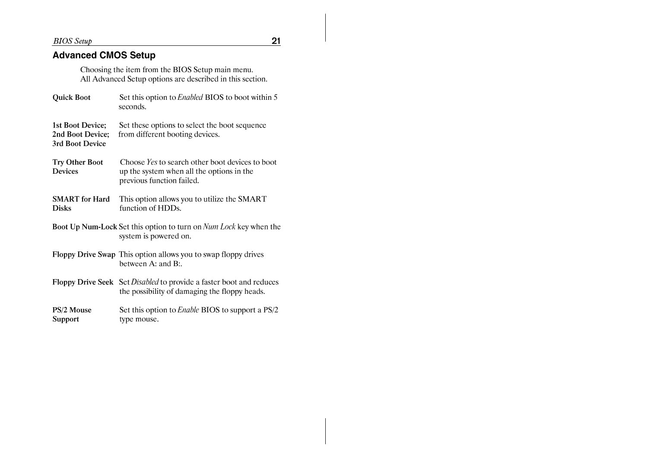**BIOS** Setup

 $21$ 

## **Advanced CMOS Setup**

Choosing the item from the BIOS Setup main menu.<br>All Advanced Setup options are described in this section.

| <b>Quick Boot</b>                                       | Set this option to <i>Enabled</i> BIOS to boot within 5<br>seconds.                                                                |
|---------------------------------------------------------|------------------------------------------------------------------------------------------------------------------------------------|
| 1st Boot Device;<br>2nd Boot Device;<br>3rd Boot Device | Set these options to select the boot sequence<br>from different booting devices.                                                   |
| <b>Try Other Boot</b><br><b>Devices</b>                 | Choose <i>Yes</i> to search other boot devices to boot<br>up the system when all the options in the<br>previous function failed.   |
| <b>SMART</b> for Hard<br><b>Disks</b>                   | This option allows you to utilize the SMART<br>function of HDDs.                                                                   |
|                                                         | <b>Boot Up Num-Lock Set this option to turn on Num Lock key when the</b><br>system is powered on.                                  |
|                                                         | Floppy Drive Swap This option allows you to swap floppy drives<br>between $A:$ and $B:$                                            |
|                                                         | <b>Floppy Drive Seek</b> Set <i>Disabled</i> to provide a faster boot and reduces<br>the possibility of damaging the floppy heads. |
| PS/2 Mouse<br>Support                                   | Set this option to <i>Enable</i> BIOS to support a PS/2<br>type mouse.                                                             |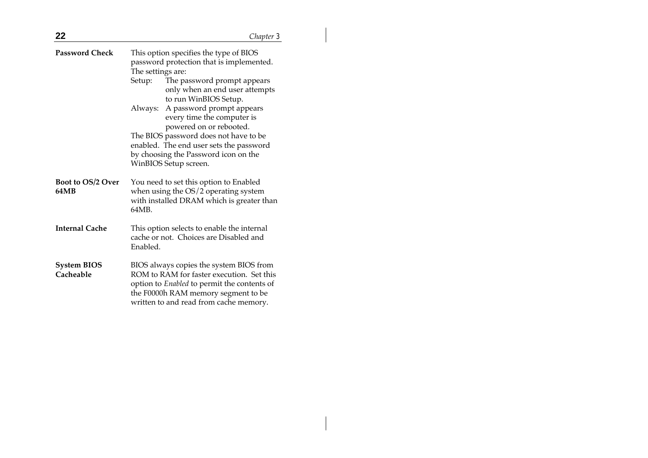| 22                               |                             | Chapter 3                                                                                                                                                                                                            |
|----------------------------------|-----------------------------|----------------------------------------------------------------------------------------------------------------------------------------------------------------------------------------------------------------------|
| <b>Password Check</b>            | The settings are:<br>Setup: | This option specifies the type of BIOS<br>password protection that is implemented.<br>The password prompt appears<br>only when an end user attempts                                                                  |
|                                  | Always:                     | to run WinBIOS Setup.<br>A password prompt appears<br>every time the computer is<br>powered on or rebooted.                                                                                                          |
|                                  |                             | The BIOS password does not have to be<br>enabled. The end user sets the password<br>by choosing the Password icon on the<br>WinBIOS Setup screen.                                                                    |
| <b>Boot to OS/2 Over</b><br>64MB | 64MB.                       | You need to set this option to Enabled<br>when using the OS/2 operating system<br>with installed DRAM which is greater than                                                                                          |
| <b>Internal Cache</b>            | Enabled.                    | This option selects to enable the internal<br>cache or not. Choices are Disabled and                                                                                                                                 |
| <b>System BIOS</b><br>Cacheable  |                             | BIOS always copies the system BIOS from<br>ROM to RAM for faster execution. Set this<br>option to Enabled to permit the contents of<br>the F0000h RAM memory segment to be<br>written to and read from cache memory. |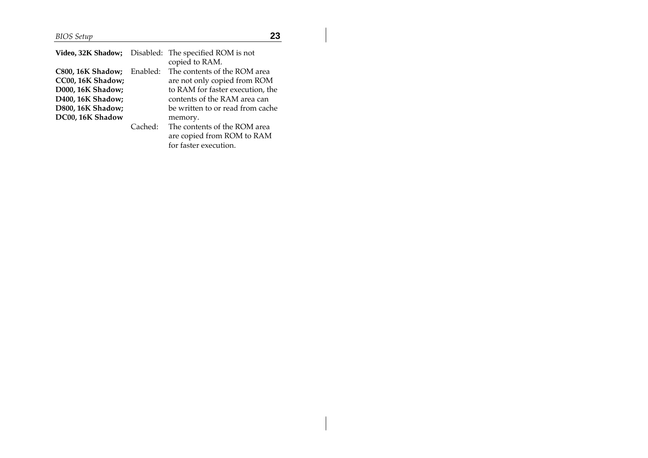*BIOS Setup* **23**

| Video, 32K Shadow;                                                                      |          | Disabled: The specified ROM is not<br>copied to RAM.                                                                               |
|-----------------------------------------------------------------------------------------|----------|------------------------------------------------------------------------------------------------------------------------------------|
| <b>C800, 16K Shadow;</b><br>CC00, 16K Shadow;<br>D000, 16K Shadow;<br>D400, 16K Shadow; | Enabled: | The contents of the ROM area<br>are not only copied from ROM<br>to RAM for faster execution, the<br>contents of the RAM area can   |
| D800, 16K Shadow;<br>DC00, 16K Shadow                                                   | Cached:  | be written to or read from cache<br>memory.<br>The contents of the ROM area<br>are copied from ROM to RAM<br>for faster execution. |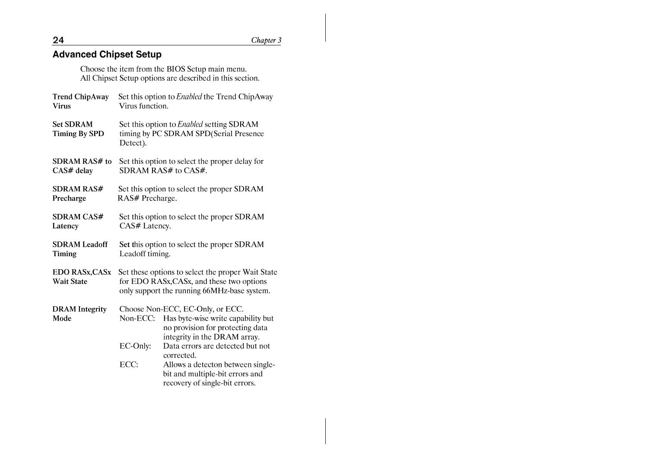# **Advanced Chipset Setup**

Choose the item from the BIOS Setup main menu.<br>All Chipset Setup options are described in this section.

| <b>Trend ChipAway</b><br><b>Virus</b>      | Set this option to <i>Enabled</i> the Trend ChipAway<br>Virus function.                                                                       |                                                                                                        |
|--------------------------------------------|-----------------------------------------------------------------------------------------------------------------------------------------------|--------------------------------------------------------------------------------------------------------|
| <b>Set SDRAM</b><br><b>Timing By SPD</b>   | Set this option to <i>Enabled</i> setting SDRAM<br>timing by PC SDRAM SPD(Serial Presence<br>Detect).                                         |                                                                                                        |
| <b>SDRAM RAS# to</b><br>CAS# delay         | Set this option to select the proper delay for<br>SDRAM RAS# to CAS#.                                                                         |                                                                                                        |
| <b>SDRAM RAS#</b><br>Precharge             | Set this option to select the proper SDRAM<br>RAS# Precharge.                                                                                 |                                                                                                        |
| <b>SDRAM CAS#</b><br>Latency               | Set this option to select the proper SDRAM<br>CAS# Latency.                                                                                   |                                                                                                        |
| <b>SDRAM</b> Leadoff<br><b>Timing</b>      | Set this option to select the proper SDRAM<br>Leadoff timing.                                                                                 |                                                                                                        |
| <b>EDO RASx, CASx</b><br><b>Wait State</b> | Set these options to select the proper Wait State<br>for EDO RASx, CASx, and these two options<br>only support the running 66MHz-base system. |                                                                                                        |
| <b>DRAM</b> Integrity                      |                                                                                                                                               | Choose Non-ECC, EC-Only, or ECC.                                                                       |
| Mode                                       | Non-ECC:                                                                                                                                      | Has byte-wise write capability but<br>no provision for protecting data<br>integrity in the DRAM array. |
|                                            | EC-Only:                                                                                                                                      | Data errors are detected but not<br>corrected.                                                         |
|                                            | ECC:                                                                                                                                          | Allows a detecton between single-<br>bit and multiple-bit errors and<br>recovery of single-bit errors. |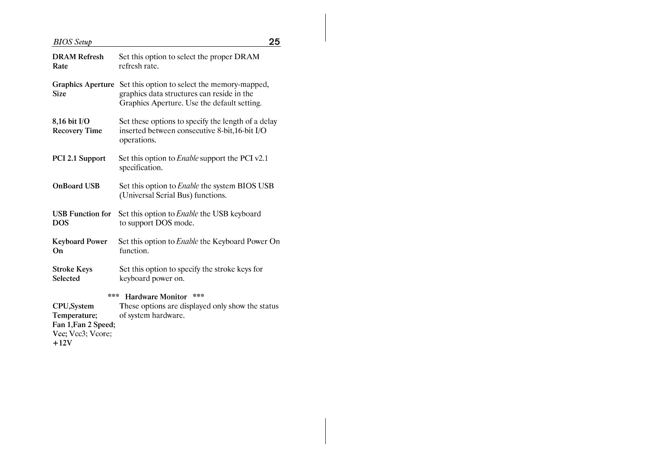## **BIOS** Setup

| <b>DRAM Refresh</b><br>Rate              | Set this option to select the proper DRAM<br>refresh rate.                                                                                |
|------------------------------------------|-------------------------------------------------------------------------------------------------------------------------------------------|
| <b>Graphics Aperture</b><br><b>Size</b>  | Set this option to select the memory-mapped,<br>graphics data structures can reside in the<br>Graphics Aperture. Use the default setting. |
| 8,16 bit I/O<br><b>Recovery Time</b>     | Set these options to specify the length of a delay<br>inserted between consecutive 8-bit,16-bit I/O<br>operations.                        |
| PCI 2.1 Support                          | Set this option to <i>Enable</i> support the PCI v2.1<br>specification.                                                                   |
| <b>OnBoard USB</b>                       | Set this option to <i>Enable</i> the system BIOS USB<br>(Universal Serial Bus) functions.                                                 |
| <b>USB Function for</b><br><b>DOS</b>    | Set this option to <i>Enable</i> the USB keyboard<br>to support DOS mode.                                                                 |
| <b>Keyboard Power</b><br>On              | Set this option to <i>Enable</i> the Keyboard Power On<br>function.                                                                       |
| <b>Stroke Keys</b><br>Selected           | Set this option to specify the stroke keys for<br>keyboard power on.                                                                      |
| ***<br>***<br><b>Hardware Monitor</b>    |                                                                                                                                           |
| CPU, System                              | These options are displayed only show the status                                                                                          |
| Temperature;                             | of system hardware.                                                                                                                       |
| Fan 1, Fan 2 Speed;<br>Vcc; Vcc3; Vcore; |                                                                                                                                           |
| $+12V$                                   |                                                                                                                                           |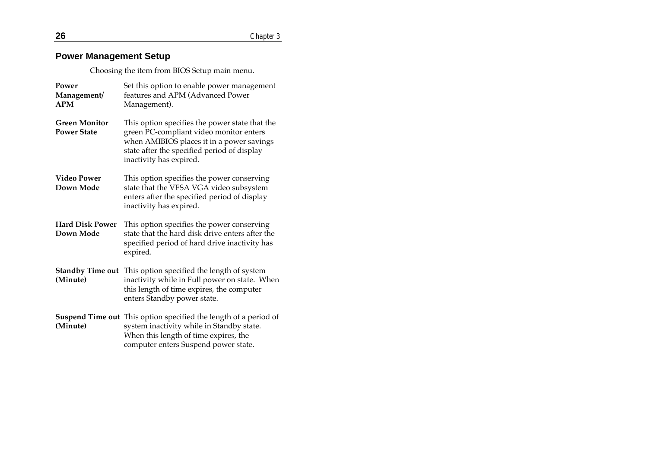## **Power Management Setup**

Choosing the item from BIOS Setup main menu.

| Power<br>Management/<br><b>APM</b>         | Set this option to enable power management<br>features and APM (Advanced Power<br>Management).                                                                                                                   |
|--------------------------------------------|------------------------------------------------------------------------------------------------------------------------------------------------------------------------------------------------------------------|
| <b>Green Monitor</b><br><b>Power State</b> | This option specifies the power state that the<br>green PC-compliant video monitor enters<br>when AMIBIOS places it in a power savings<br>state after the specified period of display<br>inactivity has expired. |
| Video Power<br>Down Mode                   | This option specifies the power conserving<br>state that the VESA VGA video subsystem<br>enters after the specified period of display<br>inactivity has expired.                                                 |
| <b>Hard Disk Power</b><br>Down Mode        | This option specifies the power conserving<br>state that the hard disk drive enters after the<br>specified period of hard drive inactivity has<br>expired.                                                       |
| (Minute)                                   | <b>Standby Time out</b> This option specified the length of system<br>inactivity while in Full power on state. When<br>this length of time expires, the computer<br>enters Standby power state.                  |
| (Minute)                                   | <b>Suspend Time out</b> This option specified the length of a period of<br>system inactivity while in Standby state.<br>When this length of time expires, the<br>computer enters Suspend power state.            |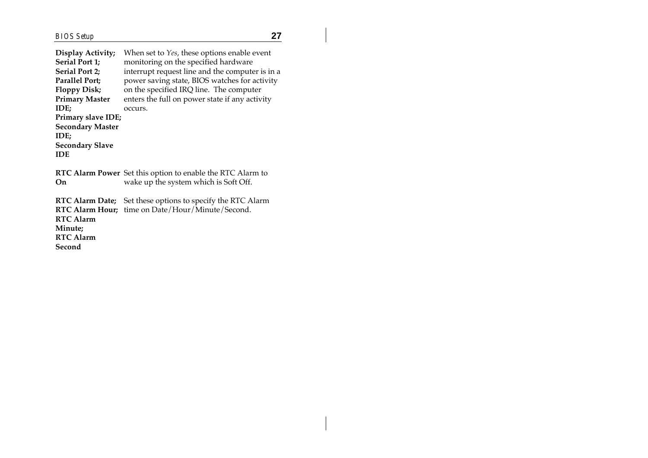$\overline{\phantom{a}}$ 

| Display Activity;<br><b>Serial Port 1;</b><br><b>Serial Port 2:</b><br><b>Parallel Port;</b><br><b>Floppy Disk;</b><br><b>Primary Master</b><br>IDE;<br>Primary slave IDE;<br><b>Secondary Master</b><br>IDE;<br><b>Secondary Slave</b><br><b>IDE</b> | When set to <i>Yes</i> , these options enable event<br>monitoring on the specified hardware<br>interrupt request line and the computer is in a<br>power saving state, BIOS watches for activity<br>on the specified IRQ line. The computer<br>enters the full on power state if any activity<br>occurs. |
|-------------------------------------------------------------------------------------------------------------------------------------------------------------------------------------------------------------------------------------------------------|---------------------------------------------------------------------------------------------------------------------------------------------------------------------------------------------------------------------------------------------------------------------------------------------------------|
| On.                                                                                                                                                                                                                                                   | <b>RTC Alarm Power</b> Set this option to enable the RTC Alarm to<br>wake up the system which is Soft Off.                                                                                                                                                                                              |
| RTC Alarm Date;<br><b>RTC Alarm</b><br>Minute;<br><b>RTC Alarm</b><br>Second                                                                                                                                                                          | Set these options to specify the RTC Alarm<br>RTC Alarm Hour; time on Date/Hour/Minute/Second.                                                                                                                                                                                                          |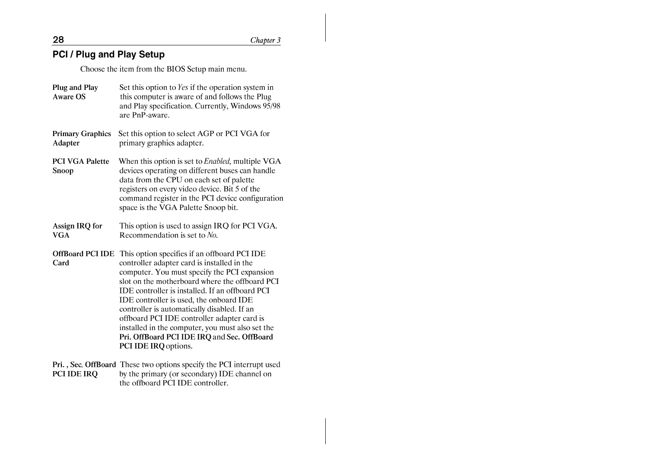Chapter 3

## **PCI / Plug and Play Setup**

Choose the item from the BIOS Setup main menu.

- Plug and Play Set this option to Yes if the operation system in Aware OS this computer is aware of and follows the Plug and Play specification. Currently, Windows 95/98 are PnP-aware. **Primary Graphics** Set this option to select AGP or PCI VGA for primary graphics adapter. Adapter When this option is set to *Enabled*, multiple VGA **PCI VGA Palette** devices operating on different buses can handle Snoop data from the CPU on each set of palette registers on every video device. Bit 5 of the command register in the PCI device configuration space is the VGA Palette Snoop bit. This option is used to assign IRO for PCI VGA. Assign IRO for **VGA** Recommendation is set to  $No$ . OffBoard PCI IDE This option specifies if an offboard PCI IDE controller adapter card is installed in the Card computer. You must specify the PCI expansion slot on the motherboard where the offboard PCI IDE controller is installed. If an offboard PCI IDE controller is used, the onboard IDE controller is automatically disabled. If an offboard PCI IDE controller adapter card is installed in the computer, you must also set the Pri. OffBoard PCI IDE IRQ and Sec. OffBoard PCI IDE IRQ options.
- Pri., Sec. OffBoard These two options specify the PCI interrupt used by the primary (or secondary) IDE channel on PCI IDE IRO the offboard PCI IDE controller.

28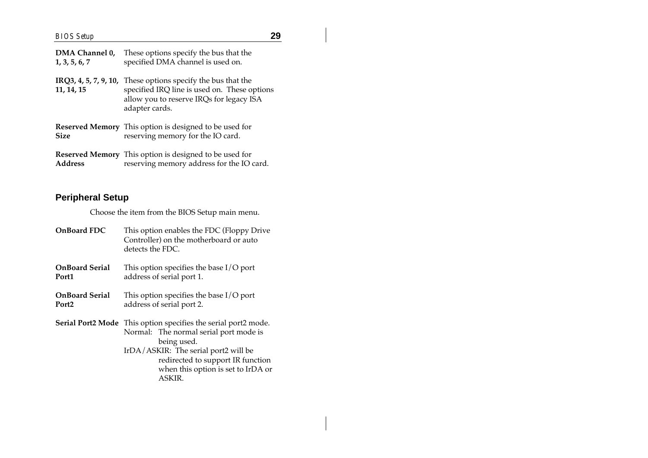| DMA Channel 0,<br>1, 3, 5, 6, 7 | These options specify the bus that the<br>specified DMA channel is used on.                                                                                                |
|---------------------------------|----------------------------------------------------------------------------------------------------------------------------------------------------------------------------|
| 11, 14, 15                      | IRQ3, 4, 5, 7, 9, 10, These options specify the bus that the<br>specified IRQ line is used on. These options<br>allow you to reserve IRQs for legacy ISA<br>adapter cards. |
| <b>Size</b>                     | <b>Reserved Memory</b> This option is designed to be used for<br>reserving memory for the IO card.                                                                         |
| <b>Address</b>                  | Reserved Memory This option is designed to be used for<br>reserving memory address for the IO card.                                                                        |

## **Peripheral Setup**

Choose the item from the BIOS Setup main menu.

| <b>OnBoard FDC</b>    | This option enables the FDC (Floppy Drive<br>Controller) on the motherboard or auto<br>detects the FDC.                                                                                                                                                     |
|-----------------------|-------------------------------------------------------------------------------------------------------------------------------------------------------------------------------------------------------------------------------------------------------------|
| <b>OnBoard Serial</b> | This option specifies the base $I/O$ port                                                                                                                                                                                                                   |
| Port1                 | address of serial port 1.                                                                                                                                                                                                                                   |
| <b>OnBoard Serial</b> | This option specifies the base $I/O$ port                                                                                                                                                                                                                   |
| Port <sub>2</sub>     | address of serial port 2.                                                                                                                                                                                                                                   |
|                       | <b>Serial Port2 Mode</b> This option specifies the serial port2 mode.<br>Normal: The normal serial port mode is<br>being used.<br>IrDA/ASKIR: The serial port2 will be<br>redirected to support IR function<br>when this option is set to IrDA or<br>ASKIR. |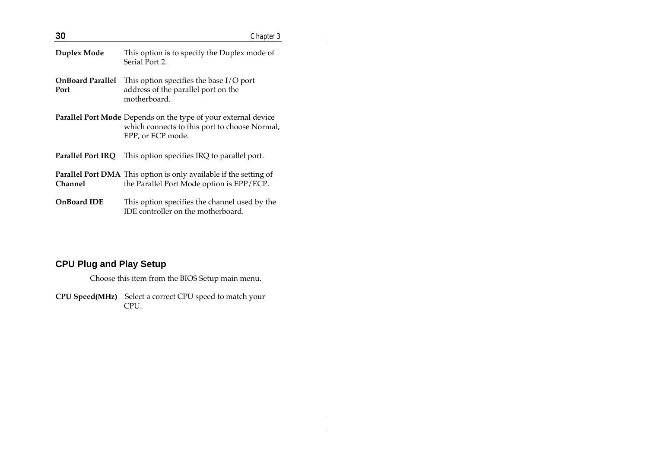| 30                              | Chapter 3                                                                                                                                   |
|---------------------------------|---------------------------------------------------------------------------------------------------------------------------------------------|
| Duplex Mode                     | This option is to specify the Duplex mode of<br>Serial Port 2.                                                                              |
| <b>OnBoard Parallel</b><br>Port | This option specifies the base $I/O$ port<br>address of the parallel port on the<br>motherboard.                                            |
|                                 | <b>Parallel Port Mode</b> Depends on the type of your external device<br>which connects to this port to choose Normal,<br>EPP, or ECP mode. |
|                                 | <b>Parallel Port IRQ</b> This option specifies IRQ to parallel port.                                                                        |
| Channel                         | <b>Parallel Port DMA</b> This option is only available if the setting of<br>the Parallel Port Mode option is EPP/ECP.                       |
| <b>OnBoard IDE</b>              | This option specifies the channel used by the<br>IDE controller on the motherboard.                                                         |

## **CPU Plug and Play Setup**

Choose this item from the BIOS Setup main menu.

**CPU Speed(MHz)** Select a correct CPU speed to match your CPU.